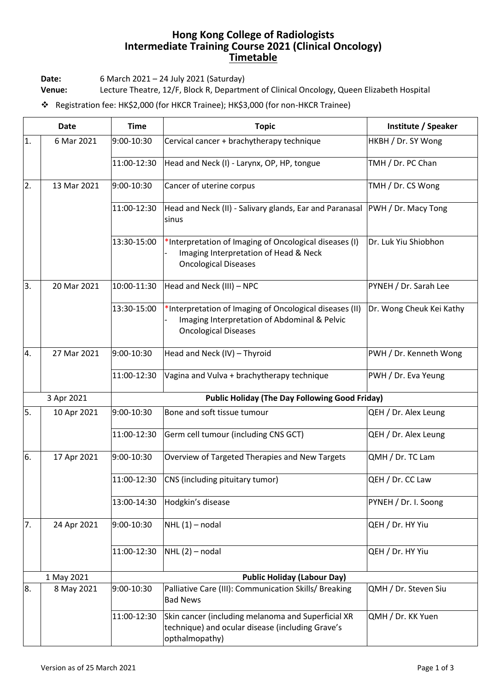## **Hong Kong College of Radiologists Intermediate Training Course 2021 (Clinical Oncology) Timetable**

**Date:** 6 March 2021 – 24 July 2021 (Saturday)

**Venue:** Lecture Theatre, 12/F, Block R, Department of Clinical Oncology, Queen Elizabeth Hospital

❖ Registration fee: HK\$2,000 (for HKCR Trainee); HK\$3,000 (for non-HKCR Trainee)

| <b>Date</b>      |             | <b>Time</b>                                           | <b>Topic</b>                                                                                                                           | Institute / Speaker      |  |
|------------------|-------------|-------------------------------------------------------|----------------------------------------------------------------------------------------------------------------------------------------|--------------------------|--|
| 1.               | 6 Mar 2021  | 9:00-10:30                                            | Cervical cancer + brachytherapy technique                                                                                              | HKBH / Dr. SY Wong       |  |
|                  |             | 11:00-12:30                                           | Head and Neck (I) - Larynx, OP, HP, tongue                                                                                             | TMH / Dr. PC Chan        |  |
| 2.               | 13 Mar 2021 | 9:00-10:30                                            | Cancer of uterine corpus                                                                                                               | TMH / Dr. CS Wong        |  |
|                  |             | 11:00-12:30                                           | Head and Neck (II) - Salivary glands, Ear and Paranasal<br>sinus                                                                       | PWH / Dr. Macy Tong      |  |
|                  |             | 13:30-15:00                                           | *Interpretation of Imaging of Oncological diseases (I)<br>Imaging Interpretation of Head & Neck<br><b>Oncological Diseases</b>         | Dr. Luk Yiu Shiobhon     |  |
| 3.               | 20 Mar 2021 | 10:00-11:30                                           | Head and Neck (III) - NPC                                                                                                              | PYNEH / Dr. Sarah Lee    |  |
|                  |             | 13:30-15:00                                           | *Interpretation of Imaging of Oncological diseases (II)<br>Imaging Interpretation of Abdominal & Pelvic<br><b>Oncological Diseases</b> | Dr. Wong Cheuk Kei Kathy |  |
| $\overline{4}$ . | 27 Mar 2021 | 9:00-10:30                                            | Head and Neck (IV) - Thyroid                                                                                                           | PWH / Dr. Kenneth Wong   |  |
|                  |             | 11:00-12:30                                           | Vagina and Vulva + brachytherapy technique                                                                                             | PWH / Dr. Eva Yeung      |  |
| 3 Apr 2021       |             | <b>Public Holiday (The Day Following Good Friday)</b> |                                                                                                                                        |                          |  |
| 5.               | 10 Apr 2021 | 9:00-10:30                                            | Bone and soft tissue tumour                                                                                                            | QEH / Dr. Alex Leung     |  |
|                  |             | 11:00-12:30                                           | Germ cell tumour (including CNS GCT)                                                                                                   | QEH / Dr. Alex Leung     |  |
| 6.               | 17 Apr 2021 | 9:00-10:30                                            | Overview of Targeted Therapies and New Targets                                                                                         | QMH / Dr. TC Lam         |  |
|                  |             | 11:00-12:30                                           | CNS (including pituitary tumor)                                                                                                        | QEH / Dr. CC Law         |  |
|                  |             | 13:00-14:30                                           | Hodgkin's disease                                                                                                                      | PYNEH / Dr. I. Soong     |  |
| 7.               | 24 Apr 2021 | 9:00-10:30                                            | $NHL(1)$ – nodal                                                                                                                       | QEH / Dr. HY Yiu         |  |
|                  |             | 11:00-12:30                                           | $NHL(2)$ – nodal                                                                                                                       | QEH / Dr. HY Yiu         |  |
|                  | 1 May 2021  | <b>Public Holiday (Labour Day)</b>                    |                                                                                                                                        |                          |  |
| 8.               | 8 May 2021  | 9:00-10:30                                            | Palliative Care (III): Communication Skills/ Breaking<br><b>Bad News</b>                                                               | QMH / Dr. Steven Siu     |  |
|                  |             | 11:00-12:30                                           | Skin cancer (including melanoma and Superficial XR<br>technique) and ocular disease (including Grave's<br>opthalmopathy)               | QMH / Dr. KK Yuen        |  |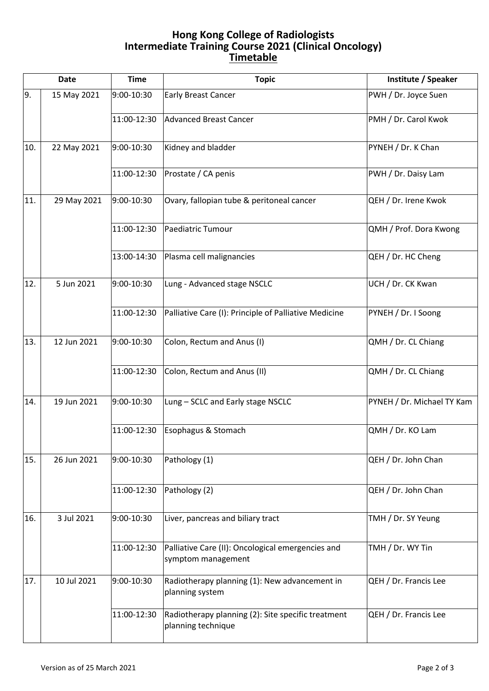## **Hong Kong College of Radiologists Intermediate Training Course 2021 (Clinical Oncology) Timetable**

| <b>Date</b> |             | <b>Time</b> | <b>Topic</b>                                                             | Institute / Speaker        |
|-------------|-------------|-------------|--------------------------------------------------------------------------|----------------------------|
| 9.          | 15 May 2021 | 9:00-10:30  | <b>Early Breast Cancer</b>                                               | PWH / Dr. Joyce Suen       |
|             |             | 11:00-12:30 | <b>Advanced Breast Cancer</b>                                            | PMH / Dr. Carol Kwok       |
| 10.         | 22 May 2021 | 9:00-10:30  | Kidney and bladder                                                       | PYNEH / Dr. K Chan         |
|             |             | 11:00-12:30 | Prostate / CA penis                                                      | PWH / Dr. Daisy Lam        |
| 11.         | 29 May 2021 | 9:00-10:30  | Ovary, fallopian tube & peritoneal cancer                                | QEH / Dr. Irene Kwok       |
|             |             | 11:00-12:30 | Paediatric Tumour                                                        | QMH / Prof. Dora Kwong     |
|             |             | 13:00-14:30 | Plasma cell malignancies                                                 | QEH / Dr. HC Cheng         |
| 12.         | 5 Jun 2021  | 9:00-10:30  | Lung - Advanced stage NSCLC                                              | UCH / Dr. CK Kwan          |
|             |             | 11:00-12:30 | Palliative Care (I): Principle of Palliative Medicine                    | PYNEH / Dr. I Soong        |
| 13.         | 12 Jun 2021 | 9:00-10:30  | Colon, Rectum and Anus (I)                                               | QMH / Dr. CL Chiang        |
|             |             | 11:00-12:30 | Colon, Rectum and Anus (II)                                              | QMH / Dr. CL Chiang        |
| 14.         | 19 Jun 2021 | 9:00-10:30  | Lung - SCLC and Early stage NSCLC                                        | PYNEH / Dr. Michael TY Kam |
|             |             | 11:00-12:30 | Esophagus & Stomach                                                      | QMH / Dr. KO Lam           |
| 15.         | 26 Jun 2021 | 9:00-10:30  | Pathology (1)                                                            | QEH / Dr. John Chan        |
|             |             | 11:00-12:30 | Pathology (2)                                                            | QEH / Dr. John Chan        |
| 16.         | 3 Jul 2021  | 9:00-10:30  | Liver, pancreas and biliary tract                                        | TMH / Dr. SY Yeung         |
|             |             | 11:00-12:30 | Palliative Care (II): Oncological emergencies and<br>symptom management  | TMH / Dr. WY Tin           |
| 17.         | 10 Jul 2021 | 9:00-10:30  | Radiotherapy planning (1): New advancement in<br>planning system         | QEH / Dr. Francis Lee      |
|             |             | 11:00-12:30 | Radiotherapy planning (2): Site specific treatment<br>planning technique | QEH / Dr. Francis Lee      |